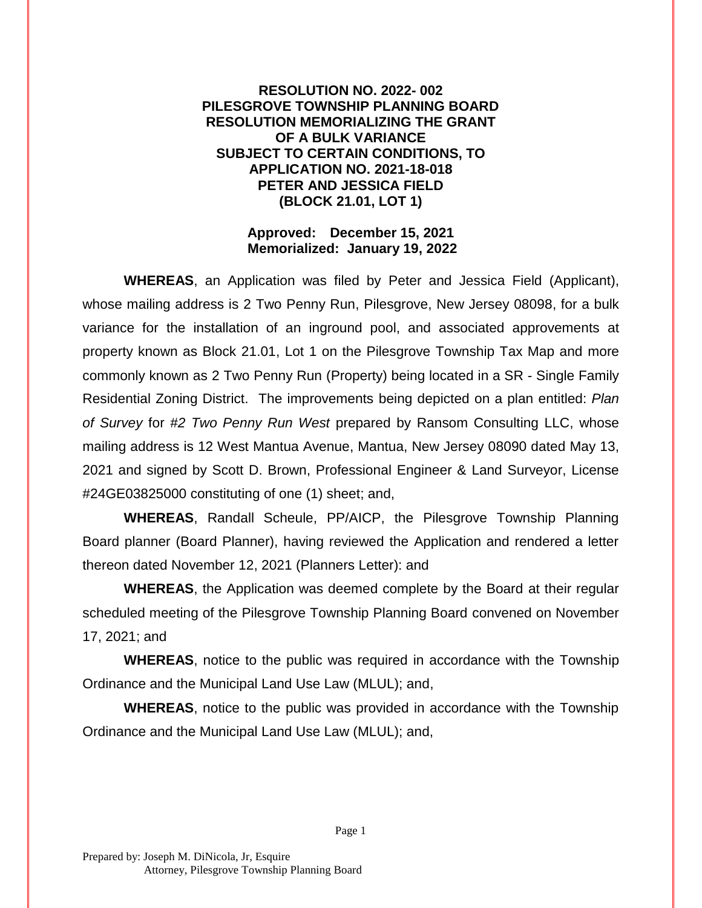## **RESOLUTION NO. 2022- 002 PILESGROVE TOWNSHIP PLANNING BOARD RESOLUTION MEMORIALIZING THE GRANT OF A BULK VARIANCE SUBJECT TO CERTAIN CONDITIONS, TO APPLICATION NO. 2021-18-018 PETER AND JESSICA FIELD (BLOCK 21.01, LOT 1)**

### **Approved: December 15, 2021 Memorialized: January 19, 2022**

**WHEREAS**, an Application was filed by Peter and Jessica Field (Applicant), whose mailing address is 2 Two Penny Run, Pilesgrove, New Jersey 08098, for a bulk variance for the installation of an inground pool, and associated approvements at property known as Block 21.01, Lot 1 on the Pilesgrove Township Tax Map and more commonly known as 2 Two Penny Run (Property) being located in a SR - Single Family Residential Zoning District. The improvements being depicted on a plan entitled: *Plan of Survey* for *#2 Two Penny Run West* prepared by Ransom Consulting LLC, whose mailing address is 12 West Mantua Avenue, Mantua, New Jersey 08090 dated May 13, 2021 and signed by Scott D. Brown, Professional Engineer & Land Surveyor, License #24GE03825000 constituting of one (1) sheet; and,

**WHEREAS**, Randall Scheule, PP/AICP, the Pilesgrove Township Planning Board planner (Board Planner), having reviewed the Application and rendered a letter thereon dated November 12, 2021 (Planners Letter): and

**WHEREAS**, the Application was deemed complete by the Board at their regular scheduled meeting of the Pilesgrove Township Planning Board convened on November 17, 2021; and

**WHEREAS**, notice to the public was required in accordance with the Township Ordinance and the Municipal Land Use Law (MLUL); and,

**WHEREAS**, notice to the public was provided in accordance with the Township Ordinance and the Municipal Land Use Law (MLUL); and,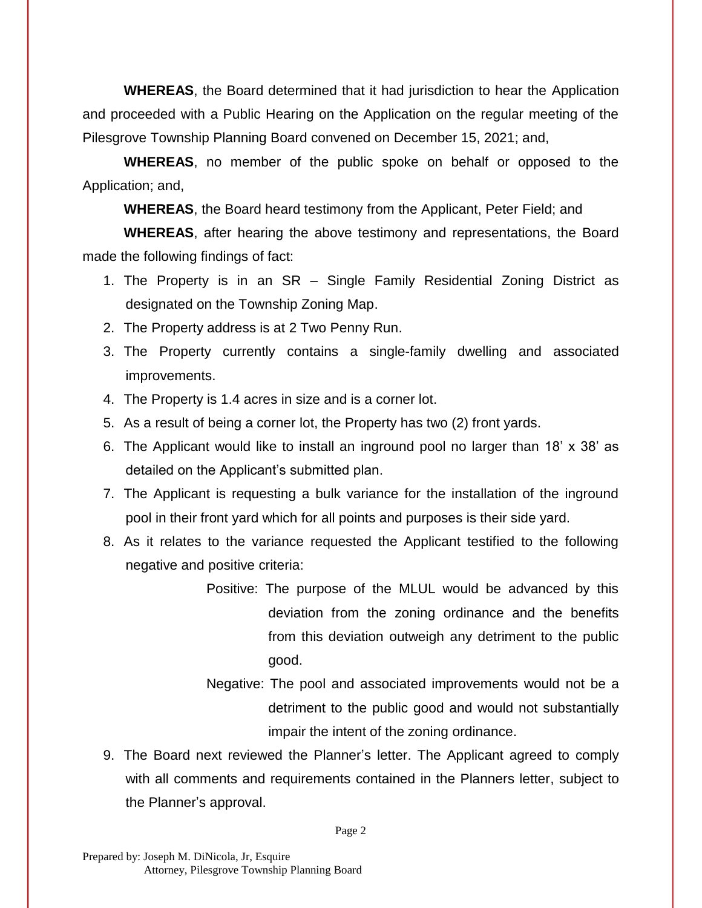**WHEREAS**, the Board determined that it had jurisdiction to hear the Application and proceeded with a Public Hearing on the Application on the regular meeting of the Pilesgrove Township Planning Board convened on December 15, 2021; and,

**WHEREAS**, no member of the public spoke on behalf or opposed to the Application; and,

**WHEREAS**, the Board heard testimony from the Applicant, Peter Field; and

**WHEREAS**, after hearing the above testimony and representations, the Board made the following findings of fact:

- 1. The Property is in an SR Single Family Residential Zoning District as designated on the Township Zoning Map.
- 2. The Property address is at 2 Two Penny Run.
- 3. The Property currently contains a single-family dwelling and associated improvements.
- 4. The Property is 1.4 acres in size and is a corner lot.
- 5. As a result of being a corner lot, the Property has two (2) front yards.
- 6. The Applicant would like to install an inground pool no larger than 18' x 38' as detailed on the Applicant's submitted plan.
- 7. The Applicant is requesting a bulk variance for the installation of the inground pool in their front yard which for all points and purposes is their side yard.
- 8. As it relates to the variance requested the Applicant testified to the following negative and positive criteria:
	- Positive: The purpose of the MLUL would be advanced by this deviation from the zoning ordinance and the benefits from this deviation outweigh any detriment to the public good.
	- Negative: The pool and associated improvements would not be a detriment to the public good and would not substantially impair the intent of the zoning ordinance.
- 9. The Board next reviewed the Planner's letter. The Applicant agreed to comply with all comments and requirements contained in the Planners letter, subject to the Planner's approval.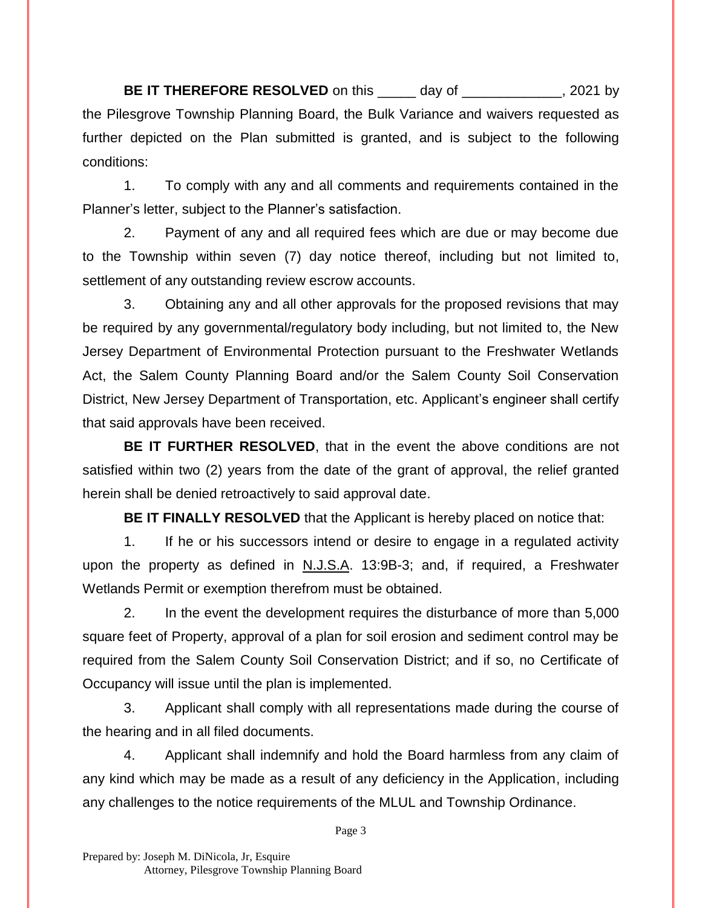**BE IT THEREFORE RESOLVED** on this day of the same of the same of the same of the same of the same of the same of the same of the same of the same of the same of the same of the same of the same of the same of the same of the Pilesgrove Township Planning Board, the Bulk Variance and waivers requested as further depicted on the Plan submitted is granted, and is subject to the following conditions:

1. To comply with any and all comments and requirements contained in the Planner's letter, subject to the Planner's satisfaction.

2. Payment of any and all required fees which are due or may become due to the Township within seven (7) day notice thereof, including but not limited to, settlement of any outstanding review escrow accounts.

3. Obtaining any and all other approvals for the proposed revisions that may be required by any governmental/regulatory body including, but not limited to, the New Jersey Department of Environmental Protection pursuant to the Freshwater Wetlands Act, the Salem County Planning Board and/or the Salem County Soil Conservation District, New Jersey Department of Transportation, etc. Applicant's engineer shall certify that said approvals have been received.

**BE IT FURTHER RESOLVED**, that in the event the above conditions are not satisfied within two (2) years from the date of the grant of approval, the relief granted herein shall be denied retroactively to said approval date.

**BE IT FINALLY RESOLVED** that the Applicant is hereby placed on notice that:

1. If he or his successors intend or desire to engage in a regulated activity upon the property as defined in N.J.S.A. 13:9B-3; and, if required, a Freshwater Wetlands Permit or exemption therefrom must be obtained.

2. In the event the development requires the disturbance of more than 5,000 square feet of Property, approval of a plan for soil erosion and sediment control may be required from the Salem County Soil Conservation District; and if so, no Certificate of Occupancy will issue until the plan is implemented.

3. Applicant shall comply with all representations made during the course of the hearing and in all filed documents.

4. Applicant shall indemnify and hold the Board harmless from any claim of any kind which may be made as a result of any deficiency in the Application, including any challenges to the notice requirements of the MLUL and Township Ordinance.

Page 3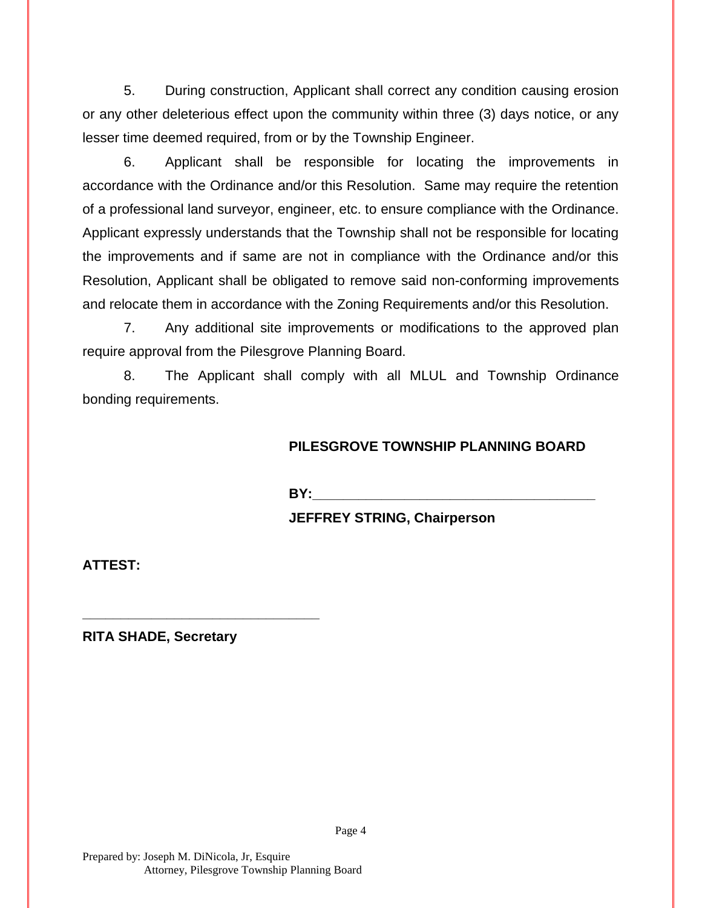5. During construction, Applicant shall correct any condition causing erosion or any other deleterious effect upon the community within three (3) days notice, or any lesser time deemed required, from or by the Township Engineer.

6. Applicant shall be responsible for locating the improvements in accordance with the Ordinance and/or this Resolution. Same may require the retention of a professional land surveyor, engineer, etc. to ensure compliance with the Ordinance. Applicant expressly understands that the Township shall not be responsible for locating the improvements and if same are not in compliance with the Ordinance and/or this Resolution, Applicant shall be obligated to remove said non-conforming improvements and relocate them in accordance with the Zoning Requirements and/or this Resolution.

7. Any additional site improvements or modifications to the approved plan require approval from the Pilesgrove Planning Board.

8. The Applicant shall comply with all MLUL and Township Ordinance bonding requirements.

# **PILESGROVE TOWNSHIP PLANNING BOARD**

**BY:** 

## **JEFFREY STRING, Chairperson**

**ATTEST:**

**RITA SHADE, Secretary**

**\_\_\_\_\_\_\_\_\_\_\_\_\_\_\_\_\_\_\_\_\_\_\_\_\_\_\_\_\_\_\_**